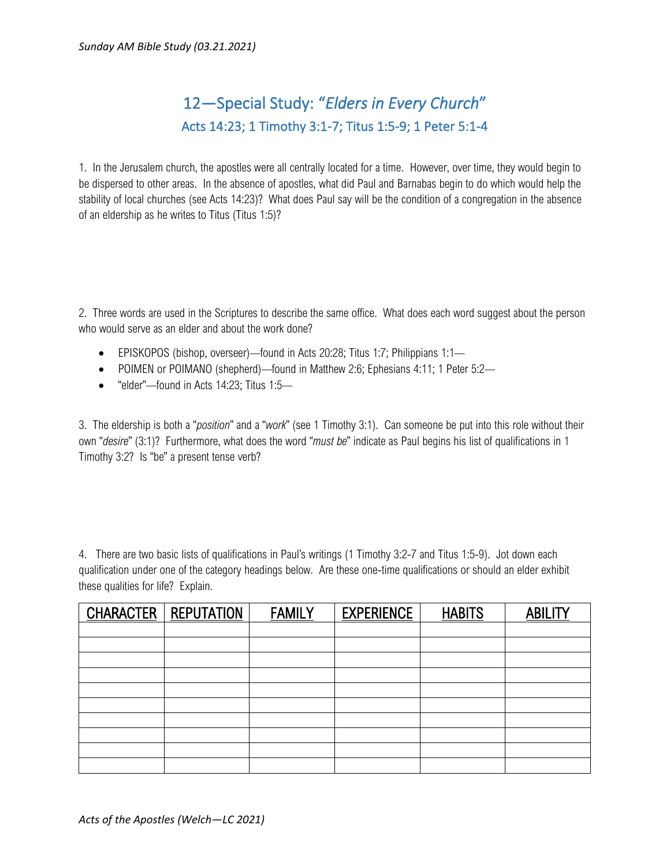## 12—Special Study: "*Elders in Every Church*" Acts 14:23; 1 Timothy 3:1-7; Titus 1:5-9; 1 Peter 5:1-4

1. In the Jerusalem church, the apostles were all centrally located for a time. However, over time, they would begin to be dispersed to other areas. In the absence of apostles, what did Paul and Barnabas begin to do which would help the stability of local churches (see Acts 14:23)? What does Paul say will be the condition of a congregation in the absence of an eldership as he writes to Titus (Titus 1:5)?

2. Three words are used in the Scriptures to describe the same office. What does each word suggest about the person who would serve as an elder and about the work done?

- EPISKOPOS (bishop, overseer)—found in Acts 20:28; Titus 1:7; Philippians 1:1—
- POIMEN or POIMANO (shepherd)—found in Matthew 2:6; Ephesians 4:11; 1 Peter 5:2—
- "elder"—found in Acts 14:23; Titus 1:5—

3. The eldership is both a "*position*" and a "*work*" (see 1 Timothy 3:1). Can someone be put into this role without their own "*desire*" (3:1)? Furthermore, what does the word "*must be*" indicate as Paul begins his list of qualifications in 1 Timothy 3:2? Is "be" a present tense verb?

4. There are two basic lists of qualifications in Paul's writings (1 Timothy 3:2-7 and Titus 1:5-9). Jot down each qualification under one of the category headings below. Are these one-time qualifications or should an elder exhibit these qualities for life? Explain.

| <b>CHARACTER</b> | <b>REPUTATION</b> | <b>FAMILY</b> | <b>EXPERIENCE</b> | <b>HABITS</b> | <b>ABILITY</b> |
|------------------|-------------------|---------------|-------------------|---------------|----------------|
|                  |                   |               |                   |               |                |
|                  |                   |               |                   |               |                |
|                  |                   |               |                   |               |                |
|                  |                   |               |                   |               |                |
|                  |                   |               |                   |               |                |
|                  |                   |               |                   |               |                |
|                  |                   |               |                   |               |                |
|                  |                   |               |                   |               |                |
|                  |                   |               |                   |               |                |
|                  |                   |               |                   |               |                |